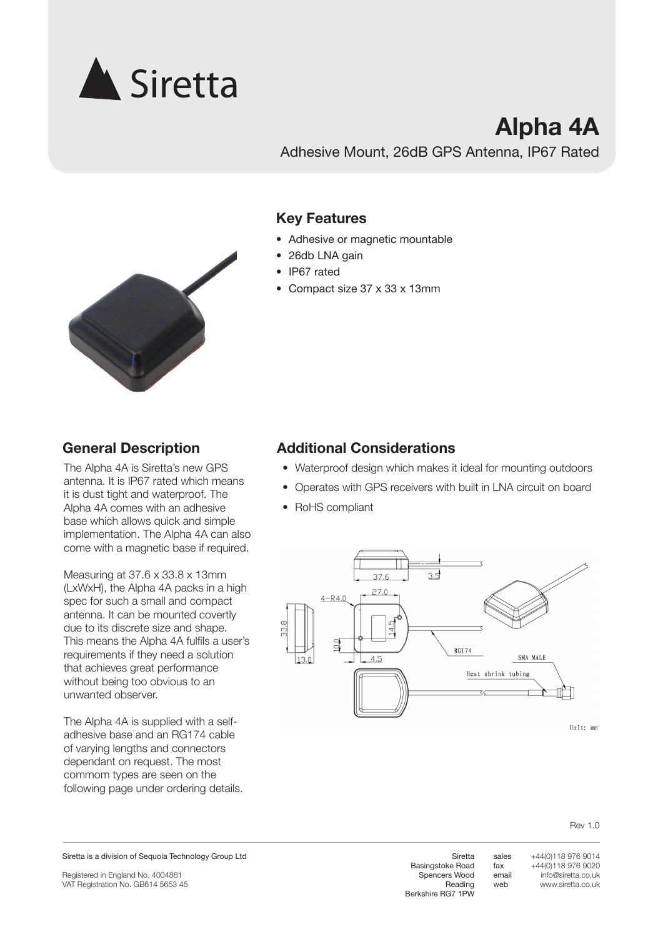

## **Alpha 4A**

Adhesive Mount, 26dB GPS Antenna, IP67 Rated

#### **Key Features**

- Adhesive or magnetic mountable
- 26db LNA gain
- IP67 rated
- • Compact size 37 x 33 x 13mm



### **General Description**

The Alpha 4A is Siretta's new GPS antenna. It is IP67 rated which means it is dust tight and waterproof. The Alpha 4A comes with an adhesive base which allows quick and simple implementation. The Alpha 4A can also come with a magnetic base if required.

Measuring at 37.6 x 33.8 x 13mm (LxWxH), the Alpha 4A packs in a high spec for such a small and compact antenna. It can be mounted covertly due to its discrete size and shape. This means the Alpha 4A fulfils a user's requirements if they need a solution that achieves great performance without being too obvious to an unwanted observer.

The Alpha 4A is supplied with a selfadhesive base and an RG174 cable of varying lengths and connectors dependant on request. The most commom types are seen on the following page under ordering details.

#### **Additional Considerations**

- Waterproof design which makes it ideal for mounting outdoors
- Operates with GPS receivers with built in LNA circuit on board
- RoHS compliant



Rev 1.0

Registered in England No. 4004881 VAT Registration No. GB614 5653 45

Siretta Basingstoke Road Spencers Wood Reading Berkshire RG7 1PW sales email +44(0)118 976 9014 +44(0)118 976 9020 info@siretta.co.uk www.siretta.co.uk

fax

web

Siretta is a division of Sequoia Technology Group Ltd